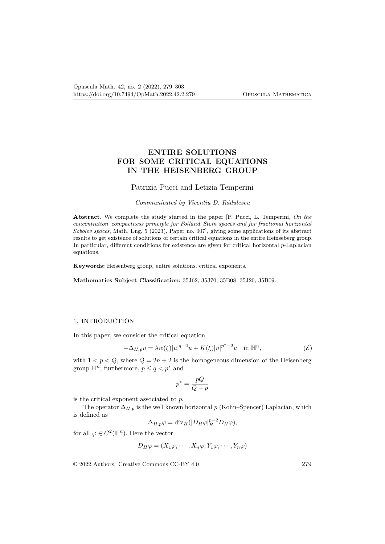# **ENTIRE SOLUTIONS FOR SOME CRITICAL EQUATIONS IN THE HEISENBERG GROUP**

## Patrizia Pucci and Letizia Temperini

#### *Communicated by Vicentiu D. Rădulescu*

**Abstract.** We complete the study started in the paper [P. Pucci, L. Temperini, *On the concentration–compactness principle for Folland–Stein spaces and for fractional horizontal Sobolev spaces*, Math. Eng. 5 (2023), Paper no. 007], giving some applications of its abstract results to get existence of solutions of certain critical equations in the entire Heinseberg group. In particular, different conditions for existence are given for critical horizontal *p*-Laplacian equations.

**Keywords:** Heisenberg group, entire solutions, critical exponents.

**Mathematics Subject Classification:** 35J62, 35J70, 35B08, 35J20, 35B09.

#### 1. INTRODUCTION

In this paper, we consider the critical equation

$$
-\Delta_{H,p}u = \lambda w(\xi)|u|^{q-2}u + K(\xi)|u|^{p^*-2}u \quad \text{in } \mathbb{H}^n,
$$
\n
$$
\tag{E}
$$

with  $1 < p < Q$ , where  $Q = 2n + 2$  is the homogeneous dimension of the Heisenberg group  $\mathbb{H}^n$ ; furthermore,  $p \leq q \leq p^*$  and

$$
p^*=\frac{pQ}{Q-p}
$$

is the critical exponent associated to *p*.

The operator  $\Delta_{H,p}$  is the well known horizontal *p* (Kohn–Spencer) Laplacian, which is defined as

$$
\Delta_{H,p}\varphi = \mathrm{div}_H(|D_H\varphi|_H^{p-2}D_H\varphi),
$$

for all  $\varphi \in C^2(\mathbb{H}^n)$ . Here the vector

$$
D_H \varphi = (X_1 \varphi, \cdots, X_n \varphi, Y_1 \varphi, \cdots, Y_n \varphi)
$$

© 2022 Authors. Creative Commons CC-BY 4.0 279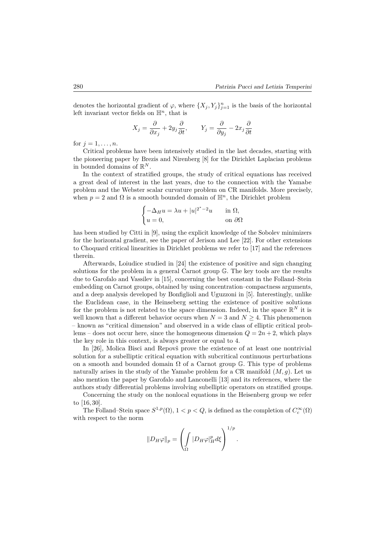denotes the horizontal gradient of  $\varphi$ , where  $\{X_j, Y_j\}_{j=1}^n$  is the basis of the horizontal left invariant vector fields on H*<sup>n</sup>*, that is

$$
X_j = \frac{\partial}{\partial x_j} + 2y_j \frac{\partial}{\partial t}, \qquad Y_j = \frac{\partial}{\partial y_j} - 2x_j \frac{\partial}{\partial t}
$$

for  $j = 1, ..., n$ .

Critical problems have been intensively studied in the last decades, starting with the pioneering paper by Brezis and Nirenberg [8] for the Dirichlet Laplacian problems in bounded domains of  $\mathbb{R}^N$ .

In the context of stratified groups, the study of critical equations has received a great deal of interest in the last years, due to the connection with the Yamabe problem and the Webster scalar curvature problem on CR manifolds. More precisely, when  $p = 2$  and  $\Omega$  is a smooth bounded domain of  $\mathbb{H}^n$ , the Dirichlet problem

$$
\begin{cases}\n-\Delta_H u = \lambda u + |u|^{2^*-2}u & \text{in } \Omega, \\
u = 0, & \text{on } \partial\Omega\n\end{cases}
$$

has been studied by Citti in [9], using the explicit knowledge of the Sobolev minimizers for the horizontal gradient, see the paper of Jerison and Lee [22]. For other extensions to Choquard critical linearities in Dirichlet problems we refer to [17] and the references therein.

Afterwards, Loiudice studied in [24] the existence of positive and sign changing solutions for the problem in a general Carnot group G. The key tools are the results due to Garofalo and Vassilev in [15], concerning the best constant in the Folland–Stein embedding on Carnot groups, obtained by using concentration–compactness arguments, and a deep analysis developed by Bonfiglioli and Uguzzoni in [5]. Interestingly, unlike the Euclidean case, in the Heinseberg setting the existence of positive solutions for the problem is not related to the space dimension. Indeed, in the space  $\mathbb{R}^N$  it is well known that a different behavior occurs when  $N = 3$  and  $N \geq 4$ . This phenomenon – known as "critical dimension" and observed in a wide class of elliptic critical problems – does not occur here, since the homogeneous dimension  $Q = 2n + 2$ , which plays the key role in this context, is always greater or equal to 4.

In [26], Molica Bisci and Repovš prove the existence of at least one nontrivial solution for a subelliptic critical equation with subcritical continuous perturbations on a smooth and bounded domain  $\Omega$  of a Carnot group  $\mathbb{G}$ . This type of problems naturally arises in the study of the Yamabe problem for a CR manifold (*M, g*). Let us also mention the paper by Garofalo and Lanconelli [13] and its references, where the authors study differential problems involving subelliptic operators on stratified groups.

Concerning the study on the nonlocal equations in the Heisenberg group we refer to [16, 30].

The Folland–Stein space  $S^{1,p}(\Omega)$ ,  $1 < p < Q$ , is defined as the completion of  $C_c^{\infty}(\Omega)$ with respect to the norm

$$
||D_H\varphi||_p = \left(\int\limits_{\Omega} |D_H\varphi|_H^p d\xi\right)^{1/p}.
$$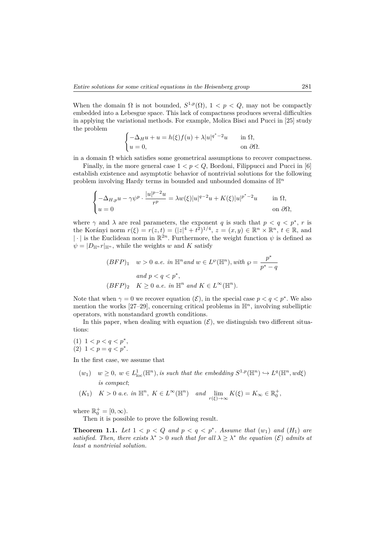When the domain  $\Omega$  is not bounded,  $S^{1,p}(\Omega)$ ,  $1 < p < Q$ , may not be compactly embedded into a Lebesgue space. This lack of compactness produces several difficulties in applying the variational methods. For example, Molica Bisci and Pucci in [25] study the problem

$$
\begin{cases}\n-\Delta_H u + u = h(\xi) f(u) + \lambda |u|^{q^*-2} u & \text{in } \Omega, \\
u = 0, & \text{on } \partial\Omega.\n\end{cases}
$$

in a domain  $\Omega$  which satisfies some geometrical assumptions to recover compactness.

Finally, in the more general case 1 *< p < Q*, Bordoni, Filippucci and Pucci in [6] establish existence and asymptotic behavior of nontrivial solutions for the following problem involving Hardy terms in bounded and unbounded domains of H*<sup>n</sup>*

$$
\begin{cases}\n-\Delta_{H,p}u - \gamma \psi^p \cdot \frac{|u|^{p-2}u}{r^p} = \lambda w(\xi)|u|^{q-2}u + K(\xi)|u|^{p^*-2}u & \text{in } \Omega, \\
u = 0 & \text{on } \partial\Omega,\n\end{cases}
$$

where  $\gamma$  and  $\lambda$  are real parameters, the exponent *q* is such that  $p < q < p^*$ , *r* is the Korányi norm  $r(\xi) = r(z, t) = (|z|^4 + t^2)^{1/4}, z = (x, y) \in \mathbb{R}^n \times \mathbb{R}^n, t \in \mathbb{R}$ , and |  $\cdot$ | is the Euclidean norm in  $\mathbb{R}^{2n}$ . Furthermore, the weight function  $\psi$  is defined as  $\psi = |D_{\mathbb{H}^n} r|_{\mathbb{H}^n}$ , while the weights *w* and *K* satisfy

$$
(BFP)_1 \t w > 0 \t a.e. \t in \t m^n \t and \t w \in L^{\wp}(\mathbb{H}^n), \t with \t \wp = \frac{p^*}{p^* - q}
$$
  
and  $p < q < p^*$ ,  

$$
(BFP)_2 \t K \ge 0 \t a.e. \t in \t m^n \t and \t K \in L^{\infty}(\mathbb{H}^n).
$$

Note that when  $\gamma = 0$  we recover equation  $(\mathcal{E})$ , in the special case  $p < q < p^*$ . We also mention the works  $[27-29]$ , concerning critical problems in  $\mathbb{H}^n$ , involving subelliptic operators, with nonstandard growth conditions.

In this paper, when dealing with equation  $(\mathcal{E})$ , we distinguish two different situations:

(1) 
$$
1 < p < q < p^*,
$$

$$
(2) \quad 1 < p = q < p^*.
$$

In the first case, we assume that

 $(w_1)$   $w \geq 0$ ,  $w \in L^1_{loc}(\mathbb{H}^n)$ , *is such that the embedding*  $S^{1,p}(\mathbb{H}^n) \hookrightarrow L^q(\mathbb{H}^n, wd\xi)$ *is compact*;

$$
(K_1) \quad K > 0 \text{ a.e. in } \mathbb{H}^n, \ K \in L^{\infty}(\mathbb{H}^n) \quad \text{and} \quad \lim_{r(\xi) \to \infty} K(\xi) = K_{\infty} \in \mathbb{R}_0^+,
$$

where  $\mathbb{R}_0^+ = [0, \infty)$ .

Then it is possible to prove the following result.

**Theorem 1.1.** Let  $1 < p < Q$  and  $p < q < p^*$ . Assume that  $(w_1)$  and  $(H_1)$  are *satisfied. Then, there exists*  $\lambda^* > 0$  *such that for all*  $\lambda \geq \lambda^*$  *the equation* ( $\mathcal{E}$ ) *admits at least a nontrivial solution.*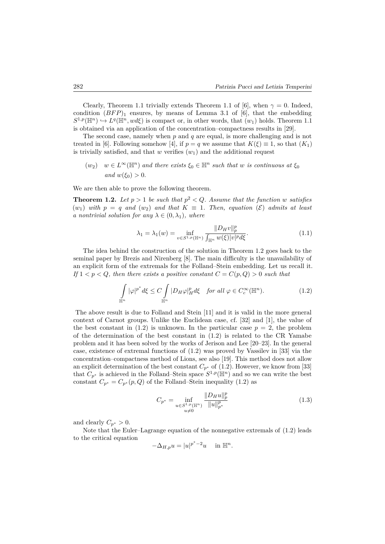Clearly, Theorem 1.1 trivially extends Theorem 1.1 of [6], when  $\gamma = 0$ . Indeed, condition  $(BFP)_1$  ensures, by means of Lemma 3.1 of [6], that the embedding  $S^{1,p}(\mathbb{H}^n) \hookrightarrow L^q(\mathbb{H}^n, wd\xi)$  is compact or, in other words, that  $(w_1)$  holds. Theorem 1.1 is obtained via an application of the concentration–compactness results in [29].

The second case, namely when *p* and *q* are equal, is more challenging and is not treated in [6]. Following somehow [4], if  $p = q$  we assume that  $K(\xi) \equiv 1$ , so that  $(K_1)$ is trivially satisfied, and that  $w$  verifies  $(w_1)$  and the additional request

$$
(w_2)
$$
  $w \in L^{\infty}(\mathbb{H}^n)$  and there exists  $\xi_0 \in \mathbb{H}^n$  such that w is continuous at  $\xi_0$   
and  $w(\xi_0) > 0$ .

We are then able to prove the following theorem.

**Theorem 1.2.** Let  $p > 1$  be such that  $p^2 < Q$ . Assume that the function w satisfies  $(w_1)$  *with*  $p = q$  *and*  $(w_2)$  *and that*  $K \equiv 1$ *. Then, equation*  $(\mathcal{E})$  *admits at least a* nontrivial solution for any  $\lambda \in (0, \lambda_1)$ , where

$$
\lambda_1 = \lambda_1(w) = \inf_{v \in S^{1,p}(\mathbb{H}^n)} \frac{\|D_H v\|_p^p}{\int_{\mathbb{H}^n} w(\xi) |v|^p d\xi}.
$$
 (1.1)

The idea behind the construction of the solution in Theorem 1.2 goes back to the seminal paper by Brezis and Nirenberg [8]. The main difficulty is the unavailability of an explicit form of the extremals for the Folland–Stein embedding. Let us recall it. *If*  $1 < p < Q$ *, then there exists a positive constant*  $C = C(p, Q) > 0$  *such that* 

$$
\int_{\mathbb{H}^n} |\varphi|^{p^*} d\xi \le C \int_{\mathbb{H}^n} |D_H \varphi|_H^p d\xi \quad \text{for all } \varphi \in C_c^\infty(\mathbb{H}^n). \tag{1.2}
$$

The above result is due to Folland and Stein [11] and it is valid in the more general context of Carnot groups. Unlike the Euclidean case, cf. [32] and [1], the value of the best constant in  $(1.2)$  is unknown. In the particular case  $p = 2$ , the problem of the determination of the best constant in  $(1.2)$  is related to the CR Yamabe problem and it has been solved by the works of Jerison and Lee [20–23]. In the general case, existence of extremal functions of (1.2) was proved by Vassilev in [33] via the concentration–compactness method of Lions, see also [19]. This method does not allow an explicit determination of the best constant  $C_{p^*}$  of  $(1.2)$ . However, we know from [33] that  $C_{p^*}$  is achieved in the Folland–Stein space  $S^{1,p}(\mathbb{H}^n)$  and so we can write the best constant  $C_{p^*} = C_{p^*}(p, Q)$  of the Folland–Stein inequality (1.2) as

$$
C_{p^*} = \inf_{\substack{u \in S^{1,p}(\mathbb{H}^n) \\ u \neq 0}} \frac{\|D_H u\|_p^p}{\|u\|_{p^*}^p}
$$
(1.3)

and clearly  $C_{p^*} > 0$ .

Note that the Euler–Lagrange equation of the nonnegative extremals of (1.2) leads to the critical equation

$$
-\Delta_{H,p}u = |u|^{p^*-2}u \quad \text{ in } \mathbb{H}^n.
$$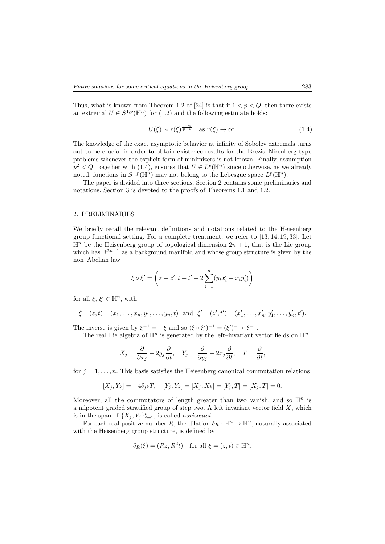Thus, what is known from Theorem 1.2 of [24] is that if  $1 < p < Q$ , then there exists an extremal  $U \in S^{1,p}(\mathbb{H}^n)$  for  $(1.2)$  and the following estimate holds:

$$
U(\xi) \sim r(\xi)^{\frac{p-Q}{p-1}} \quad \text{as } r(\xi) \to \infty. \tag{1.4}
$$

The knowledge of the exact asymptotic behavior at infinity of Sobolev extremals turns out to be crucial in order to obtain existence results for the Brezis–Nirenberg type problems whenever the explicit form of minimizers is not known. Finally, assumption  $p^2 < Q$ , together with (1.4), ensures that  $U \in L^p(\mathbb{H}^n)$  since otherwise, as we already noted, functions in  $S^{1,p}(\mathbb{H}^n)$  may not belong to the Lebesgue space  $L^p(\mathbb{H}^n)$ .

The paper is divided into three sections. Section 2 contains some preliminaries and notations. Section 3 is devoted to the proofs of Theorems 1.1 and 1.2.

#### 2. PRELIMINARIES

We briefly recall the relevant definitions and notations related to the Heisenberg group functional setting. For a complete treatment, we refer to [13, 14, 19, 33]. Let  $\mathbb{H}^n$  be the Heisenberg group of topological dimension  $2n + 1$ , that is the Lie group which has  $\mathbb{R}^{2n+1}$  as a background manifold and whose group structure is given by the non–Abelian law

$$
\xi \circ \xi' = \left(z + z', t + t' + 2\sum_{i=1}^n (y_i x'_i - x_i y'_i)\right)
$$

for all  $\xi, \xi' \in \mathbb{H}^n$ , with

$$
\xi = (z, t) = (x_1, \dots, x_n, y_1, \dots, y_n, t)
$$
 and  $\xi' = (z', t') = (x'_1, \dots, x'_n, y'_1, \dots, y'_n, t').$ 

The inverse is given by  $\xi^{-1} = -\xi$  and so  $(\xi \circ \xi')^{-1} = (\xi')^{-1} \circ \xi^{-1}$ .

The real Lie algebra of  $\mathbb{H}^n$  is generated by the left–invariant vector fields on  $\mathbb{H}^n$ 

$$
X_j = \frac{\partial}{\partial x_j} + 2y_j \frac{\partial}{\partial t}, \quad Y_j = \frac{\partial}{\partial y_j} - 2x_j \frac{\partial}{\partial t}, \quad T = \frac{\partial}{\partial t},
$$

for  $j = 1, \ldots, n$ . This basis satisfies the Heisenberg canonical commutation relations

$$
[X_j,Y_k]=-4\delta_{jk}T,\quad [Y_j,Y_k]=[X_j,X_k]=[Y_j,T]=[X_j,T]=0.
$$

Moreover, all the commutators of length greater than two vanish, and so  $\mathbb{H}^n$  is a nilpotent graded stratified group of step two. A left invariant vector field *X*, which is in the span of  $\{X_j, Y_j\}_{j=1}^n$ , is called *horizontal*.

For each real positive number *R*, the dilation  $\delta_R : \mathbb{H}^n \to \mathbb{H}^n$ , naturally associated with the Heisenberg group structure, is defined by

$$
\delta_R(\xi) = (Rz, R^2t) \quad \text{for all } \xi = (z, t) \in \mathbb{H}^n.
$$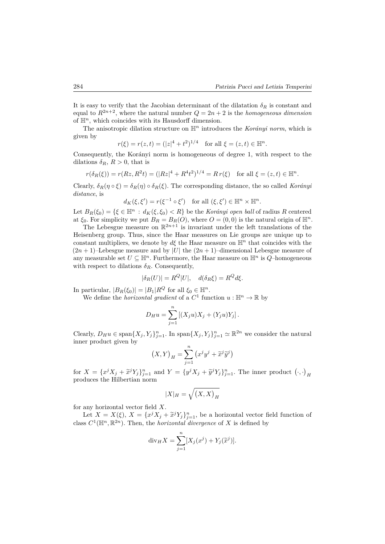It is easy to verify that the Jacobian determinant of the dilatation  $\delta_R$  is constant and equal to  $R^{2n+2}$ , where the natural number  $Q = 2n + 2$  is the *homogeneous dimension* of  $\mathbb{H}^n$ , which coincides with its Hausdorff dimension.

The anisotropic dilation structure on  $\mathbb{H}^n$  introduces the *Korányi norm*, which is given by

$$
r(\xi) = r(z, t) = (|z|^4 + t^2)^{1/4}
$$
 for all  $\xi = (z, t) \in \mathbb{H}^n$ .

Consequently, the Korányi norm is homogeneous of degree 1, with respect to the dilations  $\delta_R$ ,  $R > 0$ , that is

$$
r(\delta_R(\xi)) = r(Rz, R^2t) = (|Rz|^4 + R^4t^2)^{1/4} = Rr(\xi) \text{ for all } \xi = (z, t) \in \mathbb{H}^n.
$$

Clearly,  $\delta_R(\eta \circ \xi) = \delta_R(\eta) \circ \delta_R(\xi)$ . The corresponding distance, the so called *Korányi distance*, is

$$
d_K(\xi, \xi') = r(\xi^{-1} \circ \xi') \quad \text{for all } (\xi, \xi') \in \mathbb{H}^n \times \mathbb{H}^n.
$$

Let  $B_R(\xi_0) = \{\xi \in \mathbb{H}^n : d_K(\xi, \xi_0) < R\}$  be the *Korányi open ball* of radius R centered at  $\xi_0$ . For simplicity we put  $B_R = B_R(O)$ , where  $O = (0,0)$  is the natural origin of  $\mathbb{H}^n$ .

The Lebesgue measure on  $\mathbb{R}^{2n+1}$  is invariant under the left translations of the Heisenberg group. Thus, since the Haar measures on Lie groups are unique up to constant multipliers, we denote by  $d\xi$  the Haar measure on  $\mathbb{H}^n$  that coincides with the  $(2n + 1)$ –Lebesgue measure and by |*U*| the  $(2n + 1)$ –dimensional Lebesgue measure of any measurable set  $U \subseteq \mathbb{H}^n$ . Furthermore, the Haar measure on  $\mathbb{H}^n$  is *Q*–homogeneous with respect to dilations  $\delta_R$ . Consequently,

$$
|\delta_R(U)| = R^Q |U|, \quad d(\delta_R \xi) = R^Q d\xi.
$$

In particular,  $|B_R(\xi_0)| = |B_1|R^Q$  for all  $\xi_0 \in \mathbb{H}^n$ .

We define the *horizontal gradient* of a  $C^1$  function  $u : \mathbb{H}^n \to \mathbb{R}$  by

$$
D_{H}u = \sum_{j=1}^{n} [(X_{j}u)X_{j} + (Y_{j}u)Y_{j}].
$$

Clearly,  $D_H u \in \text{span}\{X_j, Y_j\}_{j=1}^n$ . In  $\text{span}\{X_j, Y_j\}_{j=1}^n \simeq \mathbb{R}^{2n}$  we consider the natural inner product given by

$$
(X,Y)_H = \sum_{j=1}^n (x^j y^j + \tilde{x}^j \tilde{y}^j)
$$

for  $X = \{x^j X_j + \tilde{x}^j Y_j\}_{j=1}^n$  and  $Y = \{y^j X_j + \tilde{y}^j Y_j\}_{j=1}^n$ . The inner product  $(\cdot, \cdot)_H$ produces the Hilbertian norm

$$
|X|_H = \sqrt{\left(X,X\right)_H}
$$

for any horizontal vector field *X*.

Let  $X = X(\xi)$ ,  $X = \{x^j X_j + \tilde{x}^j Y_j\}_{j=1}^n$ , be a horizontal vector field function of class  $C^1(\mathbb{H}^n, \mathbb{R}^{2n})$ . Then, the *horizontal divergence* of *X* is defined by

$$
\operatorname{div}_H X = \sum_{j=1}^n [X_j(x^j) + Y_j(\widetilde{x}^j)].
$$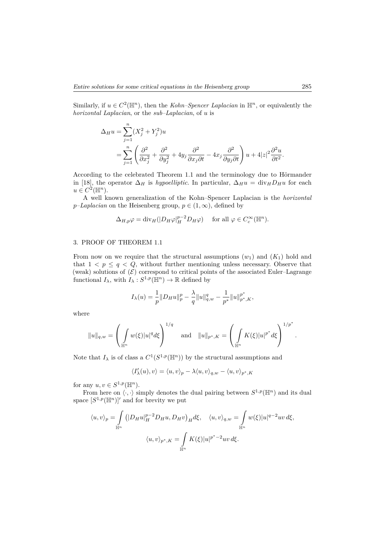Similarly, if  $u \in C^2(\mathbb{H}^n)$ , then the *Kohn–Spencer Laplacian* in  $\mathbb{H}^n$ , or equivalently the *horizontal Laplacian*, or the *sub–Laplacian*, of *u* is

$$
\Delta_H u = \sum_{j=1}^n (X_j^2 + Y_j^2) u
$$
  
= 
$$
\sum_{j=1}^n \left( \frac{\partial^2}{\partial x_j^2} + \frac{\partial^2}{\partial y_j^2} + 4y_j \frac{\partial^2}{\partial x_j \partial t} - 4x_j \frac{\partial^2}{\partial y_j \partial t} \right) u + 4|z|^2 \frac{\partial^2 u}{\partial t^2}.
$$

According to the celebrated Theorem 1.1 and the terminology due to Hörmander in [18], the operator  $\Delta_H$  is *hypoelliptic*. In particular,  $\Delta_H u = \text{div}_H D_H u$  for each  $u \in C^2(\mathbb{H}^n)$ .

A well known generalization of the Kohn–Spencer Laplacian is the *horizontal p*–*Laplacian* on the Heisenberg group,  $p \in (1, \infty)$ , defined by

$$
\Delta_{H,p}\varphi = \text{div}_H(|D_H\varphi|_H^{p-2}D_H\varphi) \quad \text{ for all } \varphi \in C_c^{\infty}(\mathbb{H}^n).
$$

#### 3. PROOF OF THEOREM 1.1

From now on we require that the structural assumptions  $(w_1)$  and  $(K_1)$  hold and that  $1 < p \leq q < Q$ , without further mentioning unless necessary. Observe that (weak) solutions of  $(\mathcal{E})$  correspond to critical points of the associated Euler–Lagrange functional  $I_{\lambda}$ , with  $I_{\lambda}: S^{1,p}(\mathbb{H}^n) \to \mathbb{R}$  defined by

$$
I_{\lambda}(u) = \frac{1}{p} \|D_H u\|_p^p - \frac{\lambda}{q} \|u\|_{q,w}^q - \frac{1}{p^*} \|u\|_{p^*,K}^{p^*},
$$

where

$$
||u||_{q,w} = \left(\int_{\mathbb{H}^n} w(\xi) |u|^q d\xi\right)^{1/q}
$$
 and  $||u||_{p^*,K} = \left(\int_{\mathbb{H}^n} K(\xi) |u|^{p^*} d\xi\right)^{1/p^*}$ 

Note that  $I_\lambda$  is of class a  $C^1(S^{1,p}(\mathbb{H}^n))$  by the structural assumptions and

$$
\langle I'_{\lambda}(u),v\rangle=\langle u,v\rangle_p-\lambda\langle u,v\rangle_{q,w}-\langle u,v\rangle_{p^*,K}
$$

for any  $u, v \in S^{1,p}(\mathbb{H}^n)$ .

From here on  $\langle \cdot, \cdot \rangle$  simply denotes the dual pairing between  $S^{1,p}(\mathbb{H}^n)$  and its dual space  $[S^{1,p}(\mathbb{H}^n)]'$  and for brevity we put

$$
\langle u, v \rangle_p = \int_{\mathbb{H}^n} (|D_H u|_H^{p-2} D_H u, D_H v)_H d\xi, \quad \langle u, v \rangle_{q,w} = \int_{\mathbb{H}^n} w(\xi) |u|^{q-2} uv d\xi,
$$
  

$$
\langle u, v \rangle_{p^*, K} = \int_{\mathbb{H}^n} K(\xi) |u|^{p^*-2} uv d\xi.
$$

*.*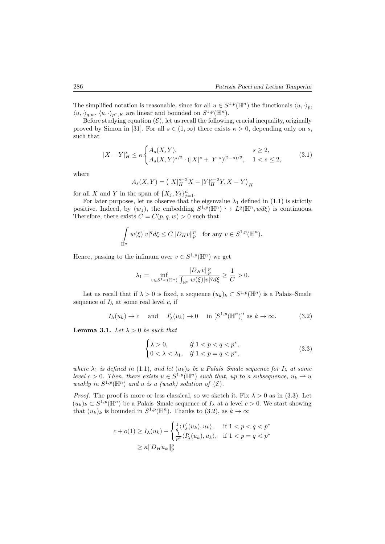The simplified notation is reasonable, since for all  $u \in S^{1,p}(\mathbb{H}^n)$  the functionals  $\langle u, \cdot \rangle_p$ ,  $\langle u, \cdot \rangle_{q,w}, \langle u, \cdot \rangle_{p^*,K}$  are linear and bounded on  $S^{1,p}(\mathbb{H}^n)$ .

Before studying equation  $(\mathcal{E})$ , let us recall the following, crucial inequality, originally proved by Simon in [31]. For all  $s \in (1,\infty)$  there exists  $\kappa > 0$ , depending only on *s*, such that

$$
|X - Y|_H^s \le \kappa \begin{cases} A_s(X, Y), & s \ge 2, \\ A_s(X, Y)^{s/2} \cdot (|X|^s + |Y|^s)^{(2-s)/2}, & 1 < s \le 2, \end{cases} \tag{3.1}
$$

where

$$
A_s(X,Y) = (|X|_H^{s-2}X - |Y|_H^{s-2}Y, X - Y)_H
$$

for all *X* and *Y* in the span of  $\{X_j, Y_j\}_{j=1}^n$ .

For later purposes, let us observe that the eigenvalue  $\lambda_1$  defined in (1.1) is strictly positive. Indeed, by  $(w_1)$ , the embedding  $S^{1,p}(\mathbb{H}^n) \hookrightarrow L^q(\mathbb{H}^n, wd\xi)$  is continuous. Therefore, there exists  $C = C(p, q, w) > 0$  such that

$$
\int_{\mathbb{H}^n} w(\xi)|v|^q d\xi \le C \|D_H v\|_p^p \text{ for any } v \in S^{1,p}(\mathbb{H}^n).
$$

Hence, passing to the infimum over  $v \in S^{1,p}(\mathbb{H}^n)$  we get

$$
\lambda_1 = \inf_{v \in S^{1,p}(\mathbb{H}^n)} \frac{\|D_H v\|_p^p}{\int_{\mathbb{H}^n} w(\xi) |v|^q d\xi} \ge \frac{1}{C} > 0.
$$

Let us recall that if  $\lambda > 0$  is fixed, a sequence  $(u_k)_k \subset S^{1,p}(\mathbb{H}^n)$  is a Palais–Smale sequence of  $I_{\lambda}$  at some real level *c*, if

$$
I_{\lambda}(u_k) \to c
$$
 and  $I'_{\lambda}(u_k) \to 0$  in  $[S^{1,p}(\mathbb{H}^n)]'$  as  $k \to \infty$ . (3.2)

**Lemma 3.1.** *Let*  $\lambda > 0$  *be such that* 

$$
\begin{cases} \lambda > 0, & \text{if } 1 < p < q < p^*, \\ 0 < \lambda < \lambda_1, & \text{if } 1 < p = q < p^*, \end{cases}
$$
 (3.3)

*where*  $\lambda_1$  *is defined in* (1.1)*, and let*  $(u_k)_k$  *be a Palais–Smale sequence for*  $I_\lambda$  *at some level*  $c > 0$ . Then, there exists  $u \in S^{1,p}(\mathbb{H}^n)$  such that, up to a subsequence,  $u_k \rightharpoonup u$ *weakly in*  $S^{1,p}(\mathbb{H}^n)$  *and u is a (weak) solution of*  $(\mathcal{E})$ *.* 

*Proof.* The proof is more or less classical, so we sketch it. Fix  $\lambda > 0$  as in (3.3). Let  $(u_k)_k \subset S^{1,p}(\mathbb{H}^n)$  be a Palais–Smale sequence of  $I_\lambda$  at a level  $c > 0$ . We start showing that  $(u_k)_k$  is bounded in  $S^{1,p}(\mathbb{H}^n)$ . Thanks to (3.2), as  $k \to \infty$ 

$$
c + o(1) \ge I_{\lambda}(u_k) - \begin{cases} \frac{1}{q} \langle I'_{\lambda}(u_k), u_k \rangle, & \text{if } 1 < p < q < p^*\\ \frac{1}{p^*} \langle I'_{\lambda}(u_k), u_k \rangle, & \text{if } 1 < p = q < p^* \end{cases}
$$
\n
$$
\ge \kappa \| D_H u_k \|_p^p
$$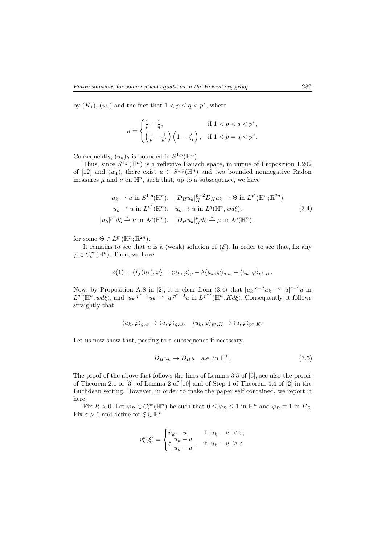by  $(K_1)$ ,  $(w_1)$  and the fact that  $1 < p \le q < p^*$ , where

$$
\kappa = \begin{cases} \frac{1}{p} - \frac{1}{q}, & \text{if } 1 < p < q < p^*, \\ \left(\frac{1}{p} - \frac{1}{p^*}\right) \left(1 - \frac{\lambda}{\lambda_1}\right), & \text{if } 1 < p = q < p^*. \end{cases}
$$

Consequently,  $(u_k)_k$  is bounded in  $S^{1,p}(\mathbb{H}^n)$ .

Thus, since  $S^{1,p}(\mathbb{H}^n)$  is a reflexive Banach space, in virtue of Proposition 1.202 of [12] and  $(w_1)$ , there exist  $u \in S^{1,p}(\mathbb{H}^n)$  and two bounded nonnegative Radon measures  $\mu$  and  $\nu$  on  $\mathbb{H}^n$ , such that, up to a subsequence, we have

$$
u_k \rightharpoonup u \text{ in } S^{1,p}(\mathbb{H}^n), \quad |D_H u_k|_H^{p-2} D_H u_k \rightharpoonup \Theta \text{ in } L^{p'}(\mathbb{H}^n; \mathbb{R}^{2n}),
$$
  
\n
$$
u_k \rightharpoonup u \text{ in } L^{p^*}(\mathbb{H}^n), \quad u_k \rightharpoonup u \text{ in } L^q(\mathbb{H}^n, wd\xi),
$$
  
\n
$$
u_k|_{p^* d\xi} \rightharpoonup \nu \text{ in } \mathcal{M}(\mathbb{H}^n), \quad |D_H u_k|_H^p d\xi \rightharpoonup \mu \text{ in } \mathcal{M}(\mathbb{H}^n),
$$
\n(3.4)

for some  $\Theta \in L^{p'}(\mathbb{H}^n;\mathbb{R}^{2n}).$ 

|*uk*|

It remains to see that  $u$  is a (weak) solution of  $(\mathcal{E})$ . In order to see that, fix any  $\varphi \in C_c^{\infty}(\mathbb{H}^n)$ . Then, we have

$$
o(1) = \langle I'_{\lambda}(u_k), \varphi \rangle = \langle u_k, \varphi \rangle_p - \lambda \langle u_k, \varphi \rangle_{q,w} - \langle u_k, \varphi \rangle_{p^*, K}.
$$

Now, by Proposition A.8 in [2], it is clear from (3.4) that  $|u_k|^{q-2}u_k \to |u|^{q-2}u$  in  $L^{q'}(\mathbb{H}^n, wd\xi)$ , and  $|u_k|^{p^*-2}u_k \to |u|^{p^*-2}u$  in  $L^{p^*'}(\mathbb{H}^n, Kd\xi)$ . Consequently, it follows straightly that

$$
\langle u_k, \varphi \rangle_{q,w} \to \langle u, \varphi \rangle_{q,w}, \quad \langle u_k, \varphi \rangle_{p^*,K} \to \langle u, \varphi \rangle_{p^*,K}.
$$

Let us now show that, passing to a subsequence if necessary,

$$
D_H u_k \to D_H u \quad \text{a.e. in } \mathbb{H}^n. \tag{3.5}
$$

The proof of the above fact follows the lines of Lemma 3.5 of [6], see also the proofs of Theorem 2.1 of [3], of Lemma 2 of [10] and of Step 1 of Theorem 4.4 of [2] in the Euclidean setting. However, in order to make the paper self contained, we report it here.

Fix  $R > 0$ . Let  $\varphi_R \in C_c^{\infty}(\mathbb{H}^n)$  be such that  $0 \leq \varphi_R \leq 1$  in  $\mathbb{H}^n$  and  $\varphi_R \equiv 1$  in  $B_R$ . Fix  $\varepsilon > 0$  and define for  $\xi \in \mathbb{H}^n$ 

$$
v_k^{\varepsilon}(\xi) = \begin{cases} u_k - u, & \text{if } |u_k - u| < \varepsilon, \\ \varepsilon \frac{u_k - u}{|u_k - u|}, & \text{if } |u_k - u| \ge \varepsilon. \end{cases}
$$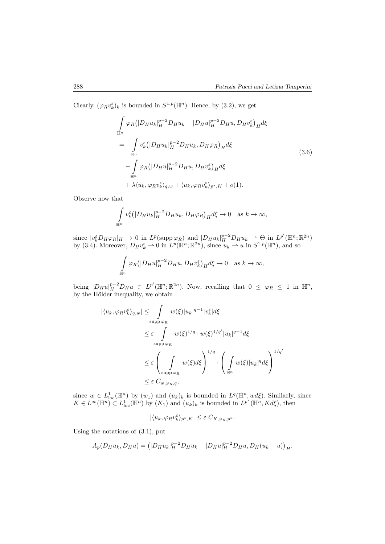Clearly,  $(\varphi_R v_k^{\varepsilon})_k$  is bounded in  $S^{1,p}(\mathbb{H}^n)$ . Hence, by (3.2), we get

$$
\int_{\mathbb{H}^n} \varphi_R \left( |D_H u_k|_H^{p-2} D_H u_k - |D_H u|_H^{p-2} D_H u, D_H v_k^{\varepsilon} \right)_H d\xi
$$
\n
$$
= - \int_{\mathbb{H}^n} v_k^{\varepsilon} \left( |D_H u_k|_H^{p-2} D_H u_k, D_H \varphi_R \right)_H d\xi
$$
\n
$$
- \int_{\mathbb{H}^n} \varphi_R \left( |D_H u|_H^{p-2} D_H u, D_H v_k^{\varepsilon} \right)_H d\xi
$$
\n
$$
+ \lambda \langle u_k, \varphi_R v_k^{\varepsilon} \rangle_{q,w} + \langle u_k, \varphi_R v_k^{\varepsilon} \rangle_{p^*,K} + o(1).
$$
\n(3.6)

Observe now that

$$
\int_{\mathbb{H}^n} v_k^{\varepsilon} (|D_H u_k|_H^{p-2} D_H u_k, D_H \varphi_R)_H d\xi \to 0 \quad \text{as } k \to \infty,
$$

since  $|v_k^{\varepsilon}D_H\varphi_R|_H \to 0$  in  $L^p(\text{supp}\,\varphi_R)$  and  $|D_Hu_k|_H^{p-2}D_Hu_k \to \Theta$  in  $L^{p'}(\mathbb{H}^n;\mathbb{R}^{2n})$ by (3.4). Moreover,  $D_H v_k^{\varepsilon} \rightharpoonup 0$  in  $L^p(\mathbb{H}^n; \mathbb{R}^{2n})$ , since  $u_k \rightharpoonup u$  in  $S^{1,p}(\mathbb{H}^n)$ , and so

$$
\int_{\mathbb{H}^n} \varphi_R(|D_H u|_H^{p-2} D_H u, D_H v_k^{\varepsilon})_H d\xi \to 0 \quad \text{as } k \to \infty,
$$

being  $|D_H u|_H^{p-2} D_H u \in L^{p'}(\mathbb{H}^n;\mathbb{R}^{2n})$ . Now, recalling that  $0 \leq \varphi_R \leq 1$  in  $\mathbb{H}^n$ , by the Hölder inequality, we obtain

$$
|\langle u_k, \varphi_R v_k^{\varepsilon} \rangle_{q,w}| \leq \int_{\text{supp }\varphi_R} w(\xi) |u_k|^{q-1} |v_k^{\varepsilon}| d\xi
$$
  

$$
\leq \varepsilon \int_{\text{supp }\varphi_R} w(\xi)^{1/q} \cdot w(\xi)^{1/q'} |u_k|^{q-1} d\xi
$$
  

$$
\leq \varepsilon \left( \int_{\text{supp }\varphi_R} w(\xi) d\xi \right)^{1/q} \cdot \left( \int_{\mathbb{H}^n} w(\xi) |u_k|^q d\xi \right)^{1/q'}
$$
  

$$
\leq \varepsilon C_{w, \varphi_R, q},
$$

since  $w \in L^1_{loc}(\mathbb{H}^n)$  by  $(w_1)$  and  $(u_k)_k$  is bounded in  $L^q(\mathbb{H}^n, wd\xi)$ . Similarly, since  $K \in L^{\infty}(\mathbb{H}^n) \subset L^1_{loc}(\mathbb{H}^n)$  by  $(K_1)$  and  $(u_k)_k$  is bounded in  $L^{p^*}(\mathbb{H}^n, Kd\xi)$ , then

$$
|\langle u_k, \varphi_R v_k^{\varepsilon} \rangle_{p^*, K}| \leq \varepsilon C_{K, \varphi_R, p^*}.
$$

Using the notations of (3.1), put

$$
A_p(D_H u_k, D_H u) = (|D_H u_k|_H^{p-2} D_H u_k - |D_H u|_H^{p-2} D_H u, D_H (u_k - u))_H.
$$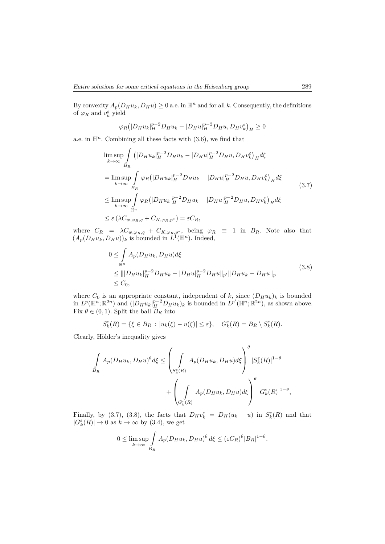By convexity  $A_p(D_Hu_k, D_Hu) \geq 0$  a.e. in  $\mathbb{H}^n$  and for all *k*. Consequently, the definitions of  $\varphi_R$  and  $v_k^{\varepsilon}$  yield

$$
\varphi_R\big(|D_H u_k|_H^{p-2}D_H u_k - |D_H u|_H^{p-2}D_H u, D_H v_k^{\varepsilon}\big)_H \ge 0
$$

a.e. in  $\mathbb{H}^n$ . Combining all these facts with  $(3.6)$ , we find that

$$
\limsup_{k \to \infty} \int_{B_R} (|D_H u_k|_H^{p-2} D_H u_k - |D_H u|_H^{p-2} D_H u, D_H v_k^{\varepsilon})_H d\xi
$$
\n
$$
= \limsup_{k \to \infty} \int_{B_R} \varphi_R (|D_H u_k|_H^{p-2} D_H u_k - |D_H u|_H^{p-2} D_H u, D_H v_k^{\varepsilon})_H d\xi
$$
\n
$$
\leq \limsup_{k \to \infty} \int_{\mathbb{H}^n} \varphi_R (|D_H u_k|_H^{p-2} D_H u_k - |D_H u|_H^{p-2} D_H u, D_H v_k^{\varepsilon})_H d\xi
$$
\n
$$
\leq \varepsilon (\lambda C_{w, \varphi_{R, q}} + C_{K, \varphi_{R, p^*}}) = \varepsilon C_R,
$$
\n(3.7)

where  $C_R = \lambda C_{w, \varphi_R, q} + C_{K, \varphi_R, p^*}$ , being  $\varphi_R \equiv 1$  in  $B_R$ . Note also that  $(A_p(D_Hu_k, D_Hu))_k$  is bounded in  $L^1(\mathbb{H}^n)$ . Indeed,

$$
0 \leq \int_{\mathbb{H}^n} A_p(D_H u_k, D_H u) d\xi
$$
  
\n
$$
\leq |||D_H u_k||_H^{p-2} D_H u_k - |D_H u|_H^{p-2} D_H u||_{p'} ||D_H u_k - D_H u||_p
$$
  
\n
$$
\leq C_0,
$$
\n(3.8)

where  $C_0$  is an appropriate constant, independent of  $k$ , since  $(D_H u_k)_k$  is bounded in  $L^p(\mathbb{H}^n;\mathbb{R}^{2n})$  and  $(|D_H u_k|_H^{p-2}D_H u_k)_k$  is bounded in  $L^{p'}(\mathbb{H}^n;\mathbb{R}^{2n})$ , as shown above. Fix  $\theta \in (0, 1)$ . Split the ball  $B_R$  into

$$
S_k^{\varepsilon}(R) = \{ \xi \in B_R : |u_k(\xi) - u(\xi)| \leq \varepsilon \}, \quad G_k^{\varepsilon}(R) = B_R \setminus S_k^{\varepsilon}(R).
$$

Clearly, Hölder's inequality gives

$$
\int_{B_R} A_p(D_H u_k, D_H u)^{\theta} d\xi \le \left( \int_{S_k^{\varepsilon}(R)} A_p(D_H u_k, D_H u) d\xi \right)^{\theta} |S_k^{\varepsilon}(R)|^{1-\theta} + \left( \int_{S_k^{\varepsilon}(R)} A_p(D_H u_k, D_H u) d\xi \right)^{\theta} |G_k^{\varepsilon}(R)|^{1-\theta},
$$

Finally, by (3.7), (3.8), the facts that  $D_H v_k^{\varepsilon} = D_H(u_k - u)$  in  $S_k^{\varepsilon}(R)$  and that  $|G_k^{\varepsilon}(R)| \to 0$  as  $k \to \infty$  by (3.4), we get

$$
0 \le \limsup_{k \to \infty} \int_{B_R} A_p(D_H u_k, D_H u)^{\theta} d\xi \le (\varepsilon C_R)^{\theta} |B_R|^{1-\theta}.
$$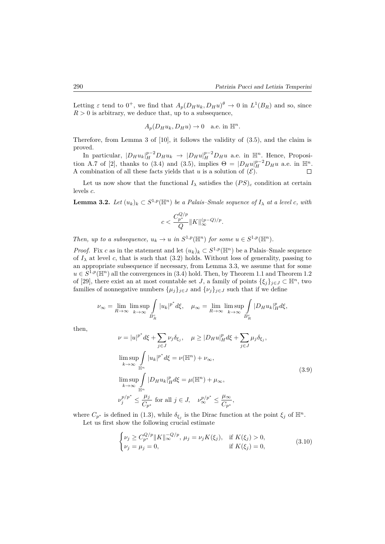*.*

Letting  $\varepsilon$  tend to  $0^+$ , we find that  $A_p(D_Hu_k, D_Hu)^{\theta} \to 0$  in  $L^1(B_R)$  and so, since  $R > 0$  is arbitrary, we deduce that, up to a subsequence,

$$
A_p(D_H u_k, D_H u) \to 0 \quad \text{a.e. in } \mathbb{H}^n
$$

Therefore, from Lemma 3 of [10], it follows the validity of (3.5), and the claim is proved.

In particular,  $|D_H u_k|_H^{p-2} D_H u_k \to |D_H u|_H^{p-2} D_H u$  a.e. in  $\mathbb{H}^n$ . Hence, Proposition A.7 of [2], thanks to (3.4) and (3.5), implies  $\Theta = |D_H u|_H^{p-2} D_H u$  a.e. in  $\mathbb{H}^n$ . A combination of all these facts yields that  $u$  is a solution of  $(\mathcal{E})$ .  $\Box$ 

Let us now show that the functional  $I_\lambda$  satisfies the  $(PS)_c$  condition at certain levels *c*.

**Lemma 3.2.** *Let*  $(u_k)_k \subset S^{1,p}(\mathbb{H}^n)$  *be a Palais–Smale sequence of*  $I_\lambda$  *at a level c, with* 

$$
c<\frac{C_{p^*}^{Q/p}}{Q}\|K\|_{\infty}^{(p-Q)/p}.
$$

*Then, up to a subsequence,*  $u_k \to u$  *in*  $S^{1,p}(\mathbb{H}^n)$  *for some*  $u \in S^{1,p}(\mathbb{H}^n)$ *.* 

*Proof.* Fix *c* as in the statement and let  $(u_k)_k \subset S^{1,p}(\mathbb{H}^n)$  be a Palais–Smale sequence of  $I_{\lambda}$  at level *c*, that is such that (3.2) holds. Without loss of generality, passing to an appropriate subsequence if necessary, from Lemma 3.3, we assume that for some  $u \in S^{1,p}(\mathbb{H}^n)$  all the convergences in (3.4) hold. Then, by Theorem 1.1 and Theorem 1.2 of [29], there exist an at most countable set *J*, a family of points  $\{\xi_i\}_{i\in J}\subset \mathbb{H}^n$ , two families of nonnegative numbers  $\{\mu_j\}_{j\in J}$  and  $\{\nu_j\}_{j\in J}$  such that if we define

$$
\nu_{\infty} = \lim_{R \to \infty} \limsup_{k \to \infty} \int_{B_R^c} |u_k|^{p^*} d\xi, \quad \mu_{\infty} = \lim_{R \to \infty} \limsup_{k \to \infty} \int_{B_R^c} |D_H u_k|_H^p d\xi,
$$

then,

$$
\nu = |u|^{p^*} d\xi + \sum_{j \in J} \nu_j \delta_{\xi_j}, \quad \mu \ge |D_H u|_H^p d\xi + \sum_{j \in J} \mu_j \delta_{\xi_j},
$$
  
\n
$$
\limsup_{k \to \infty} \int_{\mathbb{H}^n} |u_k|^{p^*} d\xi = \nu(\mathbb{H}^n) + \nu_{\infty},
$$
  
\n
$$
\limsup_{k \to \infty} \int_{\mathbb{H}^n} |D_H u_k|_H^p d\xi = \mu(\mathbb{H}^n) + \mu_{\infty},
$$
  
\n
$$
\nu_j^{p/p^*} \le \frac{\mu_j}{C_{p^*}} \text{ for all } j \in J, \quad \nu_{\infty}^{p/p^*} \le \frac{\mu_{\infty}}{C_{p^*}},
$$
\n(3.9)

where  $C_{p^*}$  is defined in (1.3), while  $\delta_{\xi_j}$  is the Dirac function at the point  $\xi_j$  of  $\mathbb{H}^n$ .

Let us first show the following crucial estimate

$$
\begin{cases} \nu_j \ge C_{p^*}^{Q/p} \|K\|_{\infty}^{-Q/p}, \ \mu_j = \nu_j K(\xi_j), & \text{if } K(\xi_j) > 0, \\ \nu_j = \mu_j = 0, & \text{if } K(\xi_j) = 0, \end{cases}
$$
\n(3.10)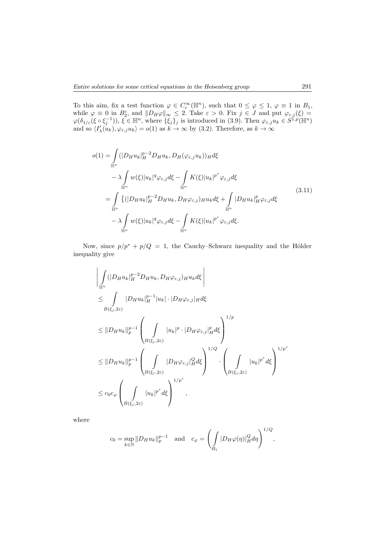To this aim, fix a test function  $\varphi \in C_c^{\infty}(\mathbb{H}^n)$ , such that  $0 \leq \varphi \leq 1$ ,  $\varphi \equiv 1$  in  $B_1$ , while  $\varphi \equiv 0$  in  $B_2^c$ , and  $||D_H\varphi||_{\infty} \leq 2$ . Take  $\varepsilon > 0$ . Fix  $j \in J$  and put  $\varphi_{\varepsilon,j}(\xi) =$  $\varphi(\delta_{1/\varepsilon}(\xi \circ \xi_j^{-1}))$ ,  $\xi \in \mathbb{H}^n$ , where  $\{\xi_j\}_j$  is introduced in (3.9). Then  $\varphi_{\varepsilon,j}u_k \in S^{1,p}(\mathbb{H}^n)$ and so  $\langle I'_{\lambda}(u_k), \varphi_{\varepsilon,j} u_k \rangle = o(1)$  as  $k \to \infty$  by (3.2). Therefore, as  $k \to \infty$ 

$$
o(1) = \int_{\mathbb{H}^n} (|D_H u_k|_H^{p-2} D_H u_k, D_H(\varphi_{\varepsilon,j} u_k))_H d\xi
$$
  

$$
- \lambda \int_{\mathbb{H}^n} w(\xi) |u_k|^q \varphi_{\varepsilon,j} d\xi - \int_{\mathbb{H}^n} K(\xi) |u_k|^{p^*} \varphi_{\varepsilon,j} d\xi
$$
  

$$
= \int_{\mathbb{H}^n} \{ (|D_H u_k|_H^{p-2} D_H u_k, D_H \varphi_{\varepsilon,j})_H u_k d\xi + \int_{\mathbb{H}^n} |D_H u_k|_H^p \varphi_{\varepsilon,j} d\xi
$$
  

$$
- \lambda \int_{\mathbb{H}^n} w(\xi) |u_k|^q \varphi_{\varepsilon,j} d\xi - \int_{\mathbb{H}^n} K(\xi) |u_k|^{p^*} \varphi_{\varepsilon,j} d\xi.
$$
 (3.11)

Now, since  $p/p^* + p/Q = 1$ , the Cauchy–Schwarz inequality and the Hölder inequality give

$$
\left| \int_{\mathbb{H}^n} (|D_H u_k|_H^{p-2} D_H u_k, D_H \varphi_{\varepsilon,j})_H u_k d\xi \right|
$$
  
\n
$$
\leq \int_{B(\xi_j, 2\varepsilon)} |D_H u_k|_H^{p-1} |u_k| \cdot |D_H \varphi_{\varepsilon,j}|_H d\xi
$$
  
\n
$$
\leq ||D_H u_k||_p^{p-1} \left( \int_{B(\xi_j, 2\varepsilon)} |u_k|^p \cdot |D_H \varphi_{\varepsilon,j}|_H^p d\xi \right)^{1/p}
$$
  
\n
$$
\leq ||D_H u_k||_p^{p-1} \left( \int_{B(\xi_j, 2\varepsilon)} |D_H \varphi_{\varepsilon,j}|_H^q d\xi \right)^{1/2} \cdot \left( \int_{B(\xi_j, 2\varepsilon)} |u_k|^{p^*} d\xi \right)^{1/p^*}
$$
  
\n
$$
\leq c_0 c_\varphi \left( \int_{B(\xi_j, 2\varepsilon)} |u_k|^{p^*} d\xi \right)^{1/p^*},
$$

where

$$
c_0 = \sup_{k \in \mathbb{N}} \| D_H u_k \|_p^{p-1} \quad \text{and} \quad c_\varphi = \left( \int_{B_1} |D_H \varphi(\eta)|_H^Q d\eta \right)^{1/Q},
$$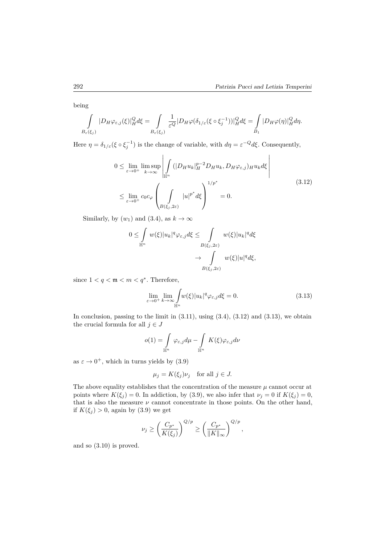being

$$
\int_{B_{\varepsilon}(\xi_j)} |D_H \varphi_{\varepsilon,j}(\xi)|_H^Q d\xi = \int_{B_{\varepsilon}(\xi_j)} \frac{1}{\varepsilon^Q} |D_H \varphi(\delta_{1/\varepsilon}(\xi \circ \xi_j^{-1}))|_H^Q d\xi = \int_{B_1} |D_H \varphi(\eta)|_H^Q d\eta.
$$

Here  $\eta = \delta_{1/\varepsilon} (\xi \circ \xi_j^{-1})$  is the change of variable, with  $d\eta = \varepsilon^{-Q} d\xi$ . Consequently,

$$
0 \leq \lim_{\varepsilon \to 0^{+}} \limsup_{k \to \infty} \left| \int_{\mathbb{H}^{n}} (|D_{H} u_{k}|_{H}^{p-2} D_{H} u_{k}, D_{H} \varphi_{\varepsilon,j})_{H} u_{k} d\xi \right|
$$
  

$$
\leq \lim_{\varepsilon \to 0^{+}} c_{0} c_{\varphi} \left( \int_{B(\xi_{j}, 2\varepsilon)} |u|^{p^{*}} d\xi \right)^{1/p^{*}} = 0.
$$
 (3.12)

Similarly, by  $(w_1)$  and  $(3.4)$ , as  $k \to \infty$ 

$$
0 \leq \int_{\mathbb{H}^n} w(\xi) |u_k|^q \varphi_{\varepsilon,j} d\xi \leq \int_{B(\xi_j, 2\varepsilon)} w(\xi) |u_k|^q d\xi
$$

$$
\to \int_{B(\xi_j, 2\varepsilon)} w(\xi) |u|^q d\xi,
$$

since  $1 < q < \mathfrak{m} < m < q^*$ . Therefore,

$$
\lim_{\varepsilon \to 0^+} \lim_{k \to \infty} \int_{\mathbb{H}^n} w(\xi) |u_k|^q \varphi_{\varepsilon,j} d\xi = 0.
$$
\n(3.13)

In conclusion, passing to the limit in  $(3.11)$ , using  $(3.4)$ ,  $(3.12)$  and  $(3.13)$ , we obtain the crucial formula for all  $j \in J$ 

$$
o(1)=\int\limits_{\mathbb H^n}\varphi_{\varepsilon,j}d\mu-\int\limits_{\mathbb H^n}K(\xi)\varphi_{\varepsilon,j}d\nu
$$

as  $\varepsilon \to 0^+$ , which in turns yields by  $(3.9)$ 

$$
\mu_j = K(\xi_j)\nu_j \quad \text{for all } j \in J.
$$

The above equality establishes that the concentration of the measure  $\mu$  cannot occur at points where  $K(\xi_i) = 0$ . In addiction, by (3.9), we also infer that  $\nu_j = 0$  if  $K(\xi_j) = 0$ , that is also the measure  $\nu$  cannot concentrate in those points. On the other hand, if  $K(\xi_i) > 0$ , again by (3.9) we get

$$
\nu_j \ge \left(\frac{C_{p^*}}{K(\xi_j)}\right)^{Q/p} \ge \left(\frac{C_{p^*}}{\|K\|_{\infty}}\right)^{Q/p},
$$

and so (3.10) is proved.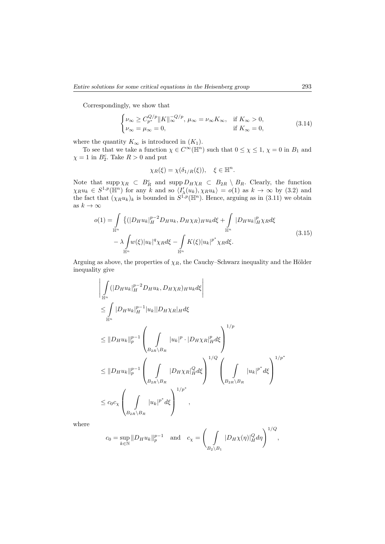Correspondingly, we show that

$$
\begin{cases} \nu_{\infty} \ge C_{p^*}^{Q/p} \|K\|_{\infty}^{-Q/p}, \ \mu_{\infty} = \nu_{\infty} K_{\infty}, & \text{if } K_{\infty} > 0, \\ \nu_{\infty} = \mu_{\infty} = 0, & \text{if } K_{\infty} = 0, \end{cases}
$$
\n(3.14)

where the quantity  $K_{\infty}$  is introduced in  $(K_1)$ .

To see that we take a function  $\chi \in C^{\infty}(\mathbb{H}^n)$  such that  $0 \leq \chi \leq 1$ ,  $\chi = 0$  in  $B_1$  and  $\chi = 1$  in  $B_2^c$ . Take  $R > 0$  and put

$$
\chi_R(\xi) = \chi(\delta_{1/R}(\xi)), \quad \xi \in \mathbb{H}^n.
$$

Note that  $\sup p \chi_R \subset B_R^c$  and  $\sup p D_H \chi_R \subset B_{2R} \setminus B_R$ . Clearly, the function  $\chi_R u_k \in S^{1,p}(\mathbb{H}^n)$  for any *k* and so  $\langle I'_{\lambda}(u_k), \chi_R u_k \rangle = o(1)$  as  $k \to \infty$  by (3.2) and the fact that  $(\chi_R u_k)_k$  is bounded in  $S^{1,p}(\mathbb{H}^n)$ . Hence, arguing as in (3.11) we obtain as  $k\to\infty$ 

$$
o(1) = \int_{\mathbb{H}^n} \left\{ (|D_H u_k|_H^{p-2} D_H u_k, D_H \chi_R)_{H} u_k d\xi + \int_{\mathbb{H}^n} |D_H u_k|_H^p \chi_R d\xi -\lambda \int_{\mathbb{H}^n} w(\xi) |u_k|^q \chi_R d\xi - \int_{\mathbb{H}^n} K(\xi) |u_k|^{p^*} \chi_R d\xi.
$$
 (3.15)

Arguing as above, the properties of  $\chi_R$ , the Cauchy–Schwarz inequality and the Hölder inequality give

$$
\left| \int_{\mathbb{H}^n} (|D_H u_k|_H^{p-2} D_H u_k, D_H \chi_R)_{H} u_k d\xi \right|
$$
  
\n
$$
\leq \int_{\mathbb{H}^n} |D_H u_k|_H^{p-1} |u_k| |D_H \chi_R|_H d\xi
$$
  
\n
$$
\leq ||D_H u_k||_p^{p-1} \left( \int_{B_{2R} \setminus B_R} |u_k|^p \cdot |D_H \chi_R|_H^p d\xi \right)^{1/p}
$$
  
\n
$$
\leq ||D_H u_k||_p^{p-1} \left( \int_{B_{2R} \setminus B_R} |D_H \chi_R|_H^Q d\xi \right)^{1/Q} \left( \int_{B_{2R} \setminus B_R} |u_k|^{p^*} d\xi \right)^{1/p^*}
$$
  
\n
$$
\leq c_0 c_\chi \left( \int_{B_{2R} \setminus B_R} |u_k|^{p^*} d\xi \right)^{1/p^*},
$$

where

$$
c_0 = \sup_{k \in \mathbb{N}} ||D_H u_k||_p^{p-1}
$$
 and  $c_\chi = \left(\int_{B_2 \setminus B_1} |D_H \chi(\eta)|_H^Q d\eta\right)^{1/Q}$ ,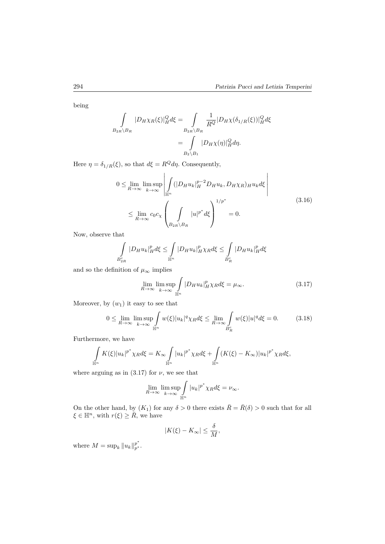being

$$
\int_{B_{2R}\setminus B_R} |D_H \chi_R(\xi)|_H^Q d\xi = \int_{B_{2R}\setminus B_R} \frac{1}{R^Q} |D_H \chi(\delta_{1/R}(\xi))|_H^Q d\xi
$$

$$
= \int_{B_2\setminus B_1} |D_H \chi(\eta)|_H^Q d\eta.
$$

Here  $\eta = \delta_{1/R}(\xi)$ , so that  $d\xi = R^Q d\eta$ . Consequently,

$$
0 \leq \lim_{R \to \infty} \limsup_{k \to \infty} \left| \int_{\mathbb{H}^n} (|D_H u_k|_H^{p-2} D_H u_k, D_H \chi_R) H u_k d\xi \right|
$$
  

$$
\leq \lim_{R \to \infty} c_0 c_\chi \left( \int_{B_{2R} \setminus B_R} |u|^{p^*} d\xi \right)^{1/p^*} = 0.
$$
 (3.16)

Now, observe that

$$
\int\limits_{B_{2R}^c} |D_H u_k|_H^p d\xi \leq \int\limits_{\mathbb H^n} |D_H u_k|_H^p \chi_R d\xi \leq \int\limits_{B_R^c} |D_H u_k|_H^p d\xi
$$

and so the definition of  $\mu_\infty$  implies

$$
\lim_{R \to \infty} \limsup_{k \to \infty} \int_{\mathbb{H}^n} |D_H u_k|_H^p \chi_R d\xi = \mu_\infty.
$$
\n(3.17)

Moreover, by  $(w_1)$  it easy to see that

$$
0 \le \lim_{R \to \infty} \limsup_{k \to \infty} \int_{\mathbb{H}^n} w(\xi) |u_k|^q \chi_R d\xi \le \lim_{R \to \infty} \int_{B_R^c} w(\xi) |u|^q d\xi = 0. \tag{3.18}
$$

Furthermore, we have

$$
\int_{\mathbb{H}^n} K(\xi) |u_k|^{p^*} \chi_R d\xi = K_\infty \int_{\mathbb{H}^n} |u_k|^{p^*} \chi_R d\xi + \int_{\mathbb{H}^n} (K(\xi) - K_\infty) |u_k|^{p^*} \chi_R d\xi,
$$

where arguing as in  $(3.17)$  for  $\nu$ , we see that

$$
\lim_{R \to \infty} \limsup_{k \to \infty} \int_{\mathbb{H}^n} |u_k|^{p^*} \chi_R d\xi = \nu_{\infty}.
$$

On the other hand, by  $(K_1)$  for any  $\delta > 0$  there exists  $\bar{R} = \bar{R}(\delta) > 0$  such that for all  $\xi \in \mathbb{H}^n$ , with  $r(\xi) \geq R$ , we have

$$
|K(\xi) - K_{\infty}| \leq \frac{\delta}{M},
$$

where  $M = \sup_k ||u_k||_{p^*}^{p^*}.$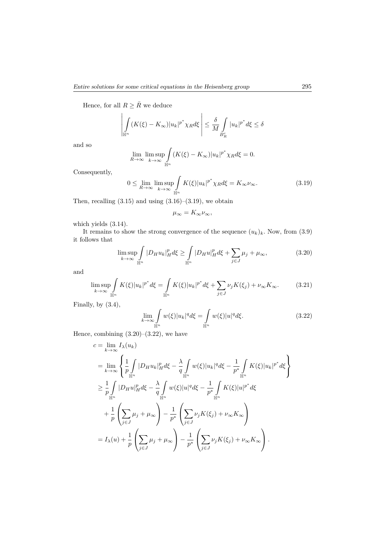Hence, for all  $R \geq \bar{R}$  we deduce

$$
\left| \int\limits_{\mathbb{H}^n} (K(\xi) - K_\infty) |u_k|^{p^*} \chi_R d\xi \right| \leq \frac{\delta}{M} \int\limits_{B_R^c} |u_k|^{p^*} d\xi \leq \delta
$$

and so

$$
\lim_{R \to \infty} \limsup_{k \to \infty} \int_{\mathbb{H}^n} (K(\xi) - K_{\infty}) |u_k|^{p^*} \chi_R d\xi = 0.
$$

Consequently,

$$
0 \le \lim_{R \to \infty} \limsup_{k \to \infty} \int_{\mathbb{H}^n} K(\xi) |u_k|^{p^*} \chi_R d\xi = K_\infty \nu_\infty. \tag{3.19}
$$

Then, recalling  $(3.15)$  and using  $(3.16)$ – $(3.19)$ , we obtain

$$
\mu_{\infty}=K_{\infty}\nu_{\infty},
$$

which yields (3.14).

It remains to show the strong convergence of the sequence  $(u_k)_k$ . Now, from  $(3.9)$ it follows that

$$
\limsup_{k \to \infty} \int_{\mathbb{H}^n} |D_H u_k|_H^p d\xi \ge \int_{\mathbb{H}^n} |D_H u|_H^p d\xi + \sum_{j \in J} \mu_j + \mu_\infty,\tag{3.20}
$$

and

$$
\limsup_{k \to \infty} \int_{\mathbb{H}^n} K(\xi) |u_k|^{p^*} d\xi = \int_{\mathbb{H}^n} K(\xi) |u_k|^{p^*} d\xi + \sum_{j \in J} \nu_j K(\xi_j) + \nu_\infty K_\infty. \tag{3.21}
$$

Finally, by (3.4),

$$
\lim_{k \to \infty} \int_{\mathbb{H}^n} w(\xi) |u_k|^q d\xi = \int_{\mathbb{H}^n} w(\xi) |u|^q d\xi.
$$
 (3.22)

Hence, combining  $(3.20)$ – $(3.22)$ , we have

$$
c = \lim_{k \to \infty} I_{\lambda}(u_k)
$$
  
\n
$$
= \lim_{k \to \infty} \left\{ \frac{1}{p} \int_{\mathbb{H}^n} |D_H u_k|_H^p d\xi - \frac{\lambda}{q} \int_{\mathbb{H}^n} w(\xi) |u_k|^q d\xi - \frac{1}{p^*} \int_{\mathbb{H}^n} K(\xi) |u_k|^{p^*} d\xi \right\}
$$
  
\n
$$
\geq \frac{1}{p} \int_{\mathbb{H}^n} |D_H u|_H^p d\xi - \frac{\lambda}{q} \int_{\mathbb{H}^n} w(\xi) |u|^q d\xi - \frac{1}{p^*} \int_{\mathbb{H}^n} K(\xi) |u|^{p^*} d\xi
$$
  
\n
$$
+ \frac{1}{p} \left( \sum_{j \in J} \mu_j + \mu_\infty \right) - \frac{1}{p^*} \left( \sum_{j \in J} \nu_j K(\xi_j) + \nu_\infty K_\infty \right)
$$
  
\n
$$
= I_{\lambda}(u) + \frac{1}{p} \left( \sum_{j \in J} \mu_j + \mu_\infty \right) - \frac{1}{p^*} \left( \sum_{j \in J} \nu_j K(\xi_j) + \nu_\infty K_\infty \right).
$$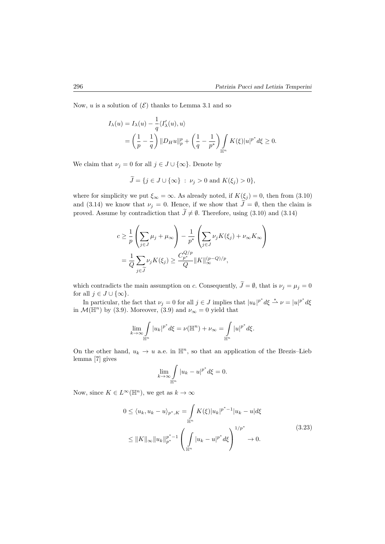Now, *u* is a solution of  $(\mathcal{E})$  thanks to Lemma 3.1 and so

$$
I_{\lambda}(u) = I_{\lambda}(u) - \frac{1}{q} \langle I'_{\lambda}(u), u \rangle
$$
  
=  $\left(\frac{1}{p} - \frac{1}{q}\right) ||D_H u||_p^p + \left(\frac{1}{q} - \frac{1}{p^*}\right) \int_{\mathbb{H}^n} K(\xi) |u|^{p^*} d\xi \ge 0.$ 

We claim that  $\nu_j = 0$  for all  $j \in J \cup \{\infty\}$ . Denote by

$$
\widetilde{J} = \{j \in J \cup \{\infty\} : \nu_j > 0 \text{ and } K(\xi_j) > 0\},\
$$

where for simplicity we put  $\xi_{\infty} = \infty$ . As already noted, if  $K(\xi_j) = 0$ , then from (3.10) and (3.14) we know that  $\nu_j = 0$ . Hence, if we show that  $\widetilde{J} = \emptyset$ , then the claim is proved. Assume by contradiction that  $\tilde{J} \neq \emptyset$ . Therefore, using (3.10) and (3.14)

$$
c \geq \frac{1}{p} \left( \sum_{j \in J} \mu_j + \mu_\infty \right) - \frac{1}{p^*} \left( \sum_{j \in J} \nu_j K(\xi_j) + \nu_\infty K_\infty \right)
$$
  
= 
$$
\frac{1}{Q} \sum_{j \in \widetilde{J}} \nu_j K(\xi_j) \geq \frac{C_{p^*}^{Q/p}}{Q} ||K||_{\infty}^{(p-Q)/p},
$$

which contradicts the main assumption on *c*. Consequently,  $\tilde{J} = \emptyset$ , that is  $\nu_j = \mu_j = 0$ for all  $j \in J \cup \{\infty\}$ .

In particular, the fact that  $\nu_j = 0$  for all  $j \in J$  implies that  $|u_k|^{p^*} d\xi \stackrel{*}{\rightharpoonup} \nu = |u|^{p^*} d\xi$ in  $\mathcal{M}(\mathbb{H}^n)$  by (3.9). Moreover, (3.9) and  $\nu_{\infty} = 0$  yield that

$$
\lim_{k \to \infty} \int_{\mathbb{H}^n} |u_k|^{p^*} d\xi = \nu(\mathbb{H}^n) + \nu_{\infty} = \int_{\mathbb{H}^n} |u|^{p^*} d\xi.
$$

On the other hand,  $u_k \to u$  a.e. in  $\mathbb{H}^n$ , so that an application of the Brezis–Lieb lemma [7] gives

$$
\lim_{k \to \infty} \int_{\mathbb{H}^n} |u_k - u|^{p^*} d\xi = 0.
$$

Now, since  $K \in L^{\infty}(\mathbb{H}^n)$ , we get as  $k \to \infty$ 

$$
0 \le \langle u_k, u_k - u \rangle_{p^*, K} = \int_{\mathbb{H}^n} K(\xi) |u_k|^{p^*-1} |u_k - u| d\xi
$$
  

$$
\le ||K||_{\infty} ||u_k||_{p^*}^{p^*-1} \left( \int_{\mathbb{H}^n} |u_k - u|^{p^*} d\xi \right)^{1/p^*} \to 0.
$$
 (3.23)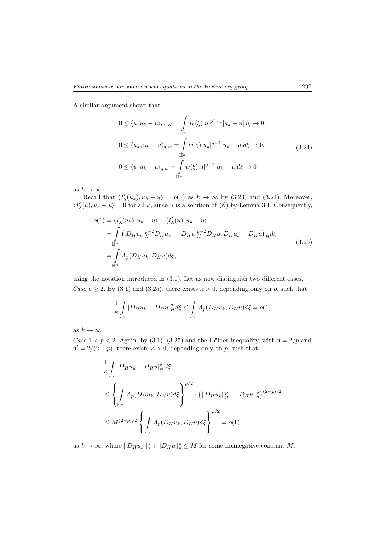A similar argument shows that

$$
0 \le \langle u, u_k - u \rangle_{p^*, K} = \int_{\mathbb{H}^n} K(\xi) |u|^{p^*-1} |u_k - u| d\xi \to 0,
$$
  
\n
$$
0 \le \langle u_k, u_k - u \rangle_{q,w} = \int_{\mathbb{H}^n} w(\xi) |u_k|^{q-1} |u_k - u| d\xi \to 0,
$$
  
\n
$$
0 \le \langle u, u_k - u \rangle_{q,w} = \int_{\mathbb{H}^n} w(\xi) |u|^{q-1} |u_k - u| d\xi \to 0
$$
\n(3.24)

as  $k \to \infty$ .

Recall that  $\langle I'_{\lambda}(u_k), u_k - u \rangle = o(1)$  as  $k \to \infty$  by (3.23) and (3.24). Moreover,  $\langle I'_{\lambda}(u), u_k - u \rangle = 0$  for all *k*, since *u* is a solution of  $(\mathcal{E})$  by Lemma 3.1. Consequently,

$$
o(1) = \langle I'_{\lambda}(u_k), u_k - u \rangle - \langle I'_{\lambda}(u), u_k - u \rangle
$$
  
\n
$$
= \int_{\mathbb{H}^n} (|D_H u_k|_H^{p-2} D_H u_k - |D_H u|_H^{p-2} D_H u, D_H u_k - D_H u)_H d\xi
$$
  
\n
$$
= \int_{\mathbb{H}^n} A_p(D_H u_k, D_H u) d\xi,
$$
\n(3.25)

using the notation introduced in (3.1). Let us now distinguish two different cases. *Case*  $p \ge 2$ . By (3.1) and (3.25), there exists  $\kappa > 0$ , depending only on p, such that

$$
\frac{1}{\kappa} \int\limits_{\mathbb{H}^n} |D_H u_k - D_H u|_H^p d\xi \le \int\limits_{\mathbb{H}^n} A_p(D_H u_k, D_H u) d\xi = o(1)
$$

as  $k \to \infty$ .

*Case*  $1 < p < 2$ . Again, by (3.1), (3.25) and the Hölder inequality, with  $p = 2/p$  and  $\mathfrak{p}' = 2/(2 - p)$ , there exists  $\kappa > 0$ , depending only on *p*, such that

$$
\frac{1}{\kappa} \int_{\mathbb{H}^n} |D_H u_k - D_H u|_H^p d\xi
$$
\n
$$
\leq \left\{ \int_{\mathbb{H}^n} A_p(D_H u_k, D_H u) d\xi \right\}^{p/2} \cdot \left\{ ||D_H u_k||_p^p + ||D_H u||_p^p \right\}^{(2-p)/2}
$$
\n
$$
\leq M^{(2-p)/2} \left\{ \int_{\mathbb{H}^n} A_p(D_H u_k, D_H u) d\xi \right\}^{p/2} = o(1)
$$

as  $k \to \infty$ , where  $||D_H u_k||_p^p + ||D_H u||_p^p \leq M$  for some nonnegative constant M.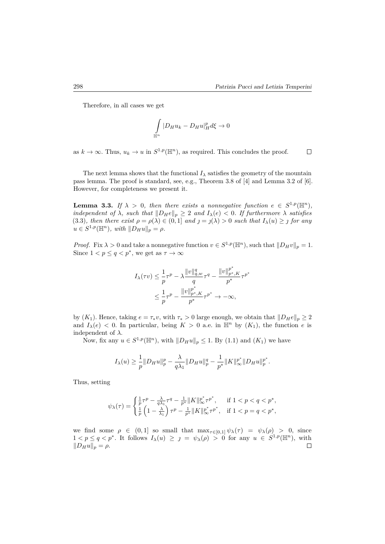$\Box$ 

Therefore, in all cases we get

$$
\int\limits_{\mathbb H^n}|D_Hu_k-D_Hu|_H^pd\xi\to 0
$$

as  $k \to \infty$ . Thus,  $u_k \to u$  in  $S^{1,p}(\mathbb{H}^n)$ , as required. This concludes the proof.

The next lemma shows that the functional  $I_\lambda$  satisfies the geometry of the mountain pass lemma. The proof is standard, see, e.g., Theorem 3.8 of [4] and Lemma 3.2 of [6]. However, for completeness we present it.

**Lemma 3.3.** *If*  $\lambda > 0$ *, then there exists a nonnegative function*  $e \in S^{1,p}(\mathbb{H}^n)$ *, independent of*  $\lambda$ *, such that*  $||D_He||_p \geq 2$  *and*  $I_\lambda(e) < 0$ *. If furthermore*  $\lambda$  *satisfies*  $(3.3)$ , then there exist  $\rho = \rho(\lambda) \in (0,1]$  and  $\jmath = \jmath(\lambda) > 0$  such that  $I_{\lambda}(u) \geq \jmath$  for any  $u \in S^{1,p}(\mathbb{H}^n)$ *, with*  $||D_Hu||_p = \rho$ *.* 

*Proof.* Fix  $\lambda > 0$  and take a nonnegative function  $v \in S^{1,p}(\mathbb{H}^n)$ , such that  $||D_Hv||_p = 1$ . Since  $1 < p \le q < p^*$ , we get as  $\tau \to \infty$ 

$$
I_{\lambda}(\tau v) \leq \frac{1}{p}\tau^{p} - \lambda \frac{||v||_{q,w}^{q}}{q}\tau^{q} - \frac{||v||_{p^{*},K}^{p^{*}}}{p^{*}}\tau^{p^{*}} \leq \frac{1}{p}\tau^{p} - \frac{||v||_{p^{*},K}^{p^{*}}}{p^{*}}\tau^{p^{*}} \to -\infty,
$$

by  $(K_1)$ . Hence, taking  $e = \tau_* v$ , with  $\tau_* > 0$  large enough, we obtain that  $||D_H e||_p \geq 2$ and  $I_\lambda(e) < 0$ . In particular, being  $K > 0$  a.e. in  $\mathbb{H}^n$  by  $(K_1)$ , the function *e* is independent of *λ*.

Now, fix any  $u \in S^{1,p}(\mathbb{H}^n)$ , with  $||D_Hu||_p \leq 1$ . By (1.1) and  $(K_1)$  we have

$$
I_{\lambda}(u) \geq \frac{1}{p} \|D_H u\|_p^p - \frac{\lambda}{q\lambda_1} \|D_H u\|_p^q - \frac{1}{p^*} \|K\|_{\infty}^{p^*} \|D_H u\|_p^{p^*}.
$$

Thus, setting

$$
\psi_\lambda(\tau) = \begin{cases} \frac{1}{p}\tau^p - \frac{\lambda}{q\lambda_1}\tau^q - \frac{1}{p^*}\|K\|_\infty^{p^*}\tau^{p^*}, & \text{if } 1 < p < q < p^*,\\ \frac{1}{p}\left(1 - \frac{\lambda}{\lambda_1}\right)\tau^p - \frac{1}{p^*}\|K\|_\infty^{p^*}\tau^{p^*}, & \text{if } 1 < p = q < p^*, \end{cases}
$$

we find some  $\rho \in (0,1]$  so small that  $\max_{\tau \in [0,1]} \psi_{\lambda}(\tau) = \psi_{\lambda}(\rho) > 0$ , since  $1 < p \leq q < p^*$ . It follows  $I_\lambda(u) \geq p = \psi_\lambda(\rho) > 0$  for any  $u \in S^{1,p}(\mathbb{H}^n)$ , with  $||D_Hu||_p = \rho.$  $\Box$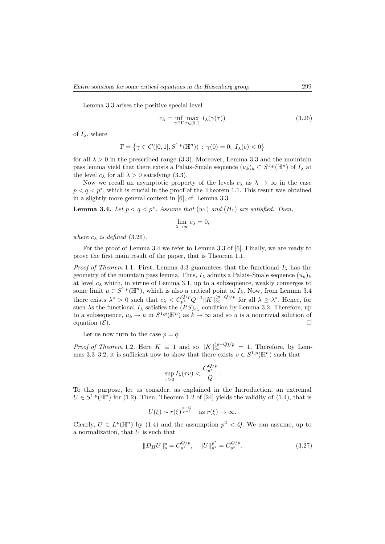Lemma 3.3 arises the positive special level

$$
c_{\lambda} = \inf_{\gamma \in \Gamma} \max_{\tau \in [0,1]} I_{\lambda}(\gamma(\tau))
$$
\n(3.26)

of  $I_\lambda$ , where

$$
\Gamma = \left\{ \gamma \in C([0,1], S^{1,p}(\mathbb{H}^n)) \, : \, \gamma(0) = 0, \ I_\lambda(e) < 0 \right\}
$$

for all  $\lambda > 0$  in the prescribed range (3.3). Moreover, Lemma 3.3 and the mountain pass lemma yield that there exists a Palais–Smale sequence  $(u_k)_k \subset S^{1,p}(\mathbb{H}^n)$  of  $I_\lambda$  at the level  $c_{\lambda}$  for all  $\lambda > 0$  satisfying (3.3).

Now we recall an asymptotic property of the levels  $c_{\lambda}$  as  $\lambda \to \infty$  in the case  $p < q < p^*$ , which is crucial in the proof of the Theorem 1.1. This result was obtained in a slightly more general context in [6], cf. Lemma 3.3.

**Lemma 3.4.** *Let*  $p < q < p^*$ . *Assume that*  $(w_1)$  *and*  $(H_1)$  *are satisfied. Then,* 

$$
\lim_{\lambda \to \infty} c_{\lambda} = 0,
$$

*where*  $c_{\lambda}$  *is defined* (3.26)*.* 

For the proof of Lemma 3.4 we refer to Lemma 3.3 of [6]. Finally, we are ready to prove the first main result of the paper, that is Theorem 1.1.

*Proof of Theorem* 1.1. First, Lemma 3.3 guarantees that the functional  $I_\lambda$  has the geometry of the mountain pass lemma. Thus,  $I_\lambda$  admits a Palais–Smale sequence  $(u_k)_k$ at level  $c_{\lambda}$  which, in virtue of Lemma 3.1, up to a subsequence, weakly converges to some limit  $u \in S^{1,p}(\mathbb{H}^n)$ , which is also a critical point of  $I_\lambda$ . Now, from Lemma 3.4 there exists  $\lambda^* > 0$  such that  $c_{\lambda} < C_{p^*}^{Q/p} Q^{-1} ||K||_{\infty}^{(p-Q)/p}$  for all  $\lambda \geq \lambda^*$ . Hence, for such  $\lambda$ s the functional  $I_{\lambda}$  satisfies the  $(PS)_{c_{\lambda}}$  condition by Lemma 3.2. Therefore, up to a subsequence,  $u_k \to u$  in  $S^{1,p}(\mathbb{H}^n)$  as  $k \to \infty$  and so *u* is a nontrivial solution of equation  $(\mathcal{E})$ .

Let us now turn to the case  $p = q$ .

*Proof of Theorem* 1.2*.* Here  $K \equiv 1$  and so  $||K||_{\infty}^{(p-Q)/p} = 1$ . Therefore, by Lemmas 3.3–3.2, it is sufficient now to show that there exists  $v \in S^{1,p}(\mathbb{H}^n)$  such that

$$
\sup_{\tau>0} I_{\lambda}(\tau v) < \frac{C_{p^*}^{Q/p}}{Q}.
$$

To this purpose, let us consider, as explained in the Introduction, an extremal  $U \in S^{1,p}(\mathbb{H}^n)$  for (1.2). Then, Theorem 1.2 of [24] yields the validity of (1.4), that is

$$
U(\xi) \sim r(\xi)^{\frac{p-Q}{p-1}} \quad \text{as } r(\xi) \to \infty.
$$

Clearly,  $U \in L^p(\mathbb{H}^n)$  by (1.4) and the assumption  $p^2 < Q$ . We can assume, up to a normalization, that *U* is such that

$$
||D_H U||_p^p = C_{p^*}^{Q/p}, \quad ||U||_{p^*}^{p^*} = C_{p^*}^{Q/p}.
$$
\n(3.27)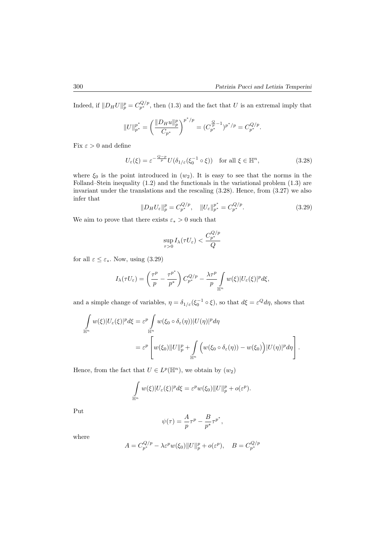Indeed, if  $||D_H U||_p^p = C_{p^*}^{Q/p}$ , then (1.3) and the fact that *U* is an extremal imply that

$$
||U||_{p^{*}}^{p^{*}} = \left(\frac{||D_{H}u||_{p}^{p}}{C_{p^{*}}}\right)^{p^{*}/p} = (C_{p^{*}}^{\frac{Q}{p}-1})^{p^{*}/p} = C_{p^{*}}^{Q/p}.
$$

Fix  $\varepsilon > 0$  and define

$$
U_{\varepsilon}(\xi) = \varepsilon^{-\frac{Q-p}{p}} U(\delta_{1/\varepsilon}(\xi_0^{-1} \circ \xi)) \quad \text{for all } \xi \in \mathbb{H}^n,
$$
\n(3.28)

where *ξ*<sup>0</sup> is the point introduced in (*w*2). It is easy to see that the norms in the Folland–Stein inequality (1.2) and the functionals in the variational problem (1.3) are invariant under the translations and the rescaling (3.28). Hence, from (3.27) we also infer that

$$
||D_H U_{\varepsilon}||_p^p = C_{p^*}^{Q/p}, \quad ||U_{\varepsilon}||_{p^*}^{p^*} = C_{p^*}^{Q/p}.
$$
\n(3.29)

We aim to prove that there exists  $\varepsilon_* > 0$  such that

$$
\sup_{\tau>0} I_{\lambda}(\tau U_{\varepsilon}) < \frac{C^{Q/p}_{p^*}}{Q}
$$

for all  $\varepsilon \leq \varepsilon_*$ . Now, using (3.29)

$$
I_{\lambda}(\tau U_{\varepsilon}) = \left(\frac{\tau^p}{p} - \frac{\tau^{p^*}}{p^*}\right) C_{p^*}^{Q/p} - \frac{\lambda \tau^p}{p} \int_{\mathbb{H}^n} w(\xi) |U_{\varepsilon}(\xi)|^p d\xi,
$$

and a simple change of variables,  $\eta = \delta_{1/\varepsilon} (\xi_0^{-1} \circ \xi)$ , so that  $d\xi = \varepsilon^Q d\eta$ , shows that

$$
\int_{\mathbb{H}^n} w(\xi) |U_{\varepsilon}(\xi)|^p d\xi = \varepsilon^p \int_{\mathbb{H}^n} w(\xi_0 \circ \delta_{\varepsilon}(\eta)) |U(\eta)|^p d\eta
$$
\n
$$
= \varepsilon^p \left[ w(\xi_0) \|U\|_p^p + \int_{\mathbb{H}^n} \left( w(\xi_0 \circ \delta_{\varepsilon}(\eta)) - w(\xi_0) \right) |U(\eta)|^p d\eta \right].
$$

Hence, from the fact that  $U \in L^p(\mathbb{H}^n)$ , we obtain by  $(w_2)$ 

$$
\int_{\mathbb{H}^n} w(\xi) |U_{\varepsilon}(\xi)|^p d\xi = \varepsilon^p w(\xi_0) ||U||_p^p + o(\varepsilon^p).
$$

Put

$$
\psi(\tau) = \frac{A}{p}\tau^p - \frac{B}{p^*}\tau^{p^*},
$$

where

$$
A = C_{p^*}^{Q/p} - \lambda \varepsilon^p w(\xi_0) \|U\|_p^p + o(\varepsilon^p), \quad B = C_{p^*}^{Q/p}
$$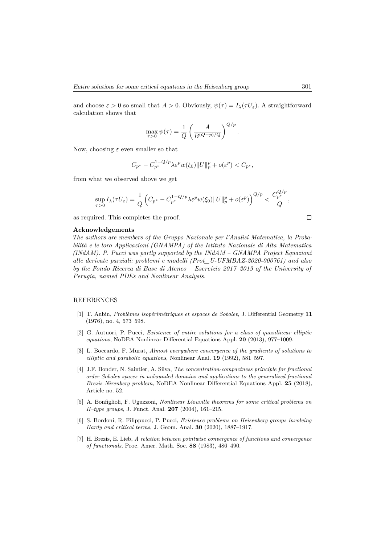and choose  $\varepsilon > 0$  so small that  $A > 0$ . Obviously,  $\psi(\tau) = I_{\lambda}(\tau U_{\varepsilon})$ . A straightforward calculation shows that

$$
\max_{\tau>0} \psi(\tau) = \frac{1}{Q} \left( \frac{A}{B^{(Q-p)/Q}} \right)^{Q/p}.
$$

Now, choosing  $\varepsilon$  even smaller so that

$$
C_{p^*} - C_{p^*}^{1-Q/p} \lambda \varepsilon^p w(\xi_0) \|U\|_p^p + o(\varepsilon^p) < C_{p^*},
$$

from what we observed above we get

$$
\sup_{\tau>0} I_{\lambda}(\tau U_{\varepsilon}) = \frac{1}{Q} \left( C_{p^*} - C_{p^*}^{1-Q/p} \lambda \varepsilon^p w(\xi_0) \|U\|_p^p + o(\varepsilon^p) \right)^{Q/p} < \frac{C_{p^*}^{Q/p}}{Q},
$$

as required. This completes the proof.

#### **Acknowledgements**

*The authors are members of the Gruppo Nazionale per l'Analisi Matematica, la Probabilità e le loro Applicazioni (GNAMPA) of the Istituto Nazionale di Alta Matematica (INdAM). P. Pucci was partly supported by the INdAM – GNAMPA Project Equazioni alle derivate parziali: problemi e modelli (Prot\_U-UFMBAZ-2020-000761) and also by the Fondo Ricerca di Base di Ateneo – Esercizio 2017–2019 of the University of Perugia, named PDEs and Nonlinear Analysis.*

### REFERENCES

- [1] T. Aubin, *Problèmes isopérimétriques et espaces de Sobolev*, J. Differential Geometry **11** (1976), no. 4, 573–598.
- [2] G. Autuori, P. Pucci, *Existence of entire solutions for a class of quasilinear elliptic equations*, NoDEA Nonlinear Differential Equations Appl. **20** (2013), 977–1009.
- [3] L. Boccardo, F. Murat, *Almost everywhere convergence of the gradients of solutions to elliptic and parabolic equations*, Nonlinear Anal. **19** (1992), 581–597.
- [4] J.F. Bonder, N. Saintier, A. Silva, *The concentration-compactness principle for fractional order Sobolev spaces in unbounded domains and applications to the generalized fractional Brezis-Nirenberg problem*, NoDEA Nonlinear Differential Equations Appl. **25** (2018), Article no. 52.
- [5] A. Bonfiglioli, F. Uguzzoni, *Nonlinear Liouville theorems for some critical problems on H–type groups*, J. Funct. Anal. **207** (2004), 161–215.
- [6] S. Bordoni, R. Filippucci, P. Pucci, *Existence problems on Heisenberg groups involving Hardy and critical terms*, J. Geom. Anal. **30** (2020), 1887–1917.
- [7] H. Brezis, E. Lieb, *A relation between pointwise convergence of functions and convergence of functionals*, Proc. Amer. Math. Soc. **88** (1983), 486–490.

 $\Box$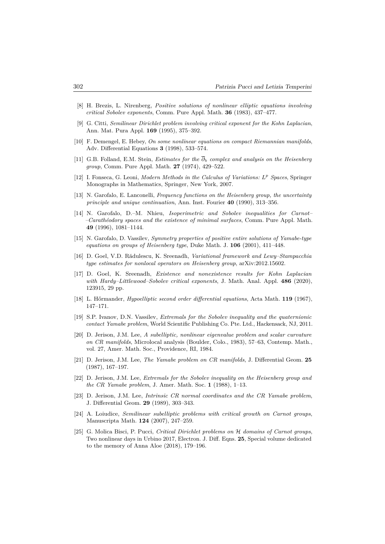- [8] H. Brezis, L. Nirenberg, *Positive solutions of nonlinear elliptic equations involving critical Sobolev exponents*, Comm. Pure Appl. Math. **36** (1983), 437–477.
- [9] G. Citti, *Semilinear Dirichlet problem involving critical exponent for the Kohn Laplacian*, Ann. Mat. Pura Appl. **169** (1995), 375–392.
- [10] F. Demengel, E. Hebey, *On some nonlinear equations on compact Riemannian manifolds*, Adv. Differential Equations **3** (1998), 533–574.
- [11] G.B. Folland, E.M. Stein, *Estimates for the ∂<sup>b</sup> complex and analysis on the Heisenberg group*, Comm. Pure Appl. Math. **27** (1974), 429–522.
- [12] I. Fonseca, G. Leoni, *Modern Methods in the Calculus of Variations: L <sup>p</sup> Spaces*, Springer Monographs in Mathematics, Springer, New York, 2007.
- [13] N. Garofalo, E. Lanconelli, *Frequency functions on the Heisenberg group, the uncertainty principle and unique continuation*, Ann. Inst. Fourier **40** (1990), 313–356.
- [14] N. Garofalo, D.–M. Nhieu, *Isoperimetric and Sobolev inequalities for Carnot– –Carathéodory spaces and the existence of minimal surfaces*, Comm. Pure Appl. Math. **49** (1996), 1081–1144.
- [15] N. Garofalo, D. Vassilev, *Symmetry properties of positive entire solutions of Yamabe-type equations on groups of Heisenberg type*, Duke Math. J. **106** (2001), 411–448.
- [16] D. Goel, V.D. Rădulescu, K. Sreenadh, *Variational framework and Lewy–Stampacchia type estimates for nonlocal operators on Heisenberg group*, arXiv:2012.15602.
- [17] D. Goel, K. Sreenadh, *Existence and nonexistence results for Kohn Laplacian with Hardy–Littlewood–Sobolev critical exponents*, J. Math. Anal. Appl. **486** (2020), 123915, 29 pp.
- [18] L. Hőrmander, *Hypoelliptic second order differential equations*, Acta Math. **119** (1967), 147–171.
- [19] S.P. Ivanov, D.N. Vassilev, *Extremals for the Sobolev inequality and the quaternionic contact Yamabe problem*, World Scientific Publishing Co. Pte. Ltd., Hackensack, NJ, 2011.
- [20] D. Jerison, J.M. Lee, *A subelliptic, nonlinear eigenvalue problem and scalar curvature on CR manifolds*, Microlocal analysis (Boulder, Colo., 1983), 57–63, Contemp. Math., vol. 27, Amer. Math. Soc., Providence, RI, 1984.
- [21] D. Jerison, J.M. Lee, *The Yamabe problem on CR manifolds*, J. Differential Geom. **25** (1987), 167–197.
- [22] D. Jerison, J.M. Lee, *Extremals for the Sobolev inequality on the Heisenberg group and the CR Yamabe problem*, J. Amer. Math. Soc. **1** (1988), 1–13.
- [23] D. Jerison, J.M. Lee, *Intrinsic CR normal coordinates and the CR Yamabe problem*, J. Differential Geom. **29** (1989), 303–343.
- [24] A. Loiudice, *Semilinear subelliptic problems with critical growth on Carnot groups*, Manuscripta Math. **124** (2007), 247–259.
- [25] G. Molica Bisci, P. Pucci, *Critical Dirichlet problems on* H *domains of Carnot groups*, Two nonlinear days in Urbino 2017, Electron. J. Diff. Eqns. **25**, Special volume dedicated to the memory of Anna Aloe (2018), 179–196.